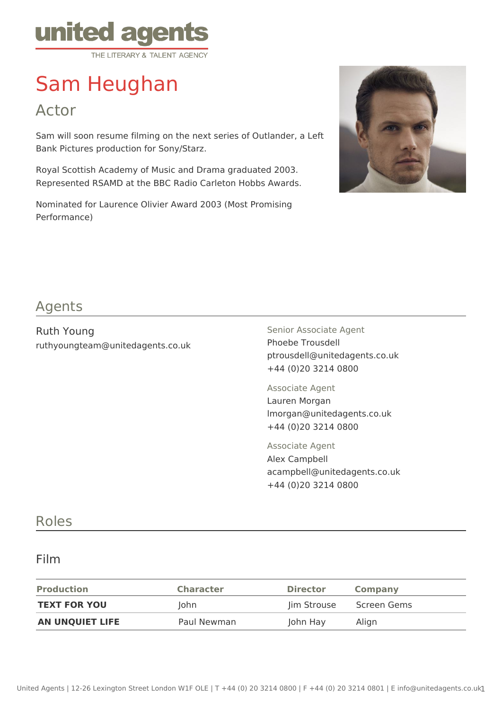

# Sam Heughan

Actor

Sam will soon resume filming on the next series of Outlander, a Left Bank Pictures production for Sony/Starz.

Royal Scottish Academy of Music and Drama graduated 2003. Represented RSAMD at the BBC Radio Carleton Hobbs Awards.

Nominated for Laurence Olivier Award 2003 (Most Promising Performance)



### Agents

Ruth Young ruthyoungteam@unitedagents.co.uk Senior Associate Agent Phoebe Trousdell ptrousdell@unitedagents.co.uk +44 (0)20 3214 0800

Associate Agent Lauren Morgan lmorgan@unitedagents.co.uk +44 (0)20 3214 0800

Associate Agent Alex Campbell acampbell@unitedagents.co.uk +44 (0)20 3214 0800

#### Roles

#### Film

| <b>Production</b>      | <b>Character</b> | <b>Director</b> | Company     |
|------------------------|------------------|-----------------|-------------|
| <b>TEXT FOR YOU</b>    | lohn.            | lim Strouse     | Screen Gems |
| <b>AN UNQUIET LIFE</b> | Paul Newman      | John Hay        | Align       |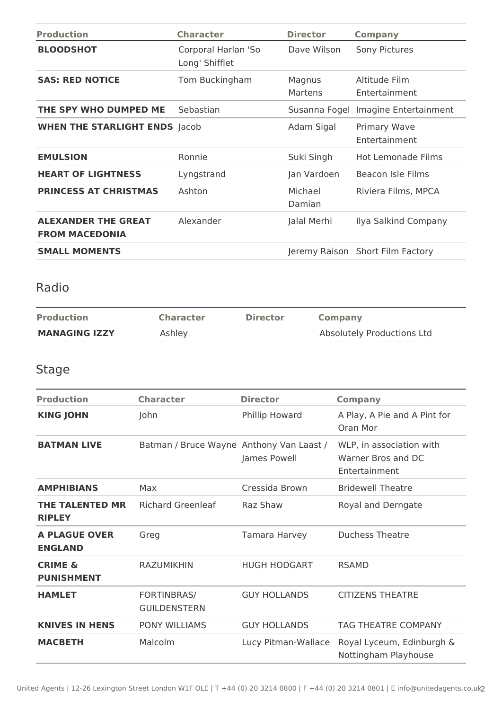| <b>Production</b>                                   | <b>Character</b>                      | <b>Director</b>   | <b>Company</b>                       |
|-----------------------------------------------------|---------------------------------------|-------------------|--------------------------------------|
| <b>BLOODSHOT</b>                                    | Corporal Harlan 'So<br>Long' Shifflet | Dave Wilson       | Sony Pictures                        |
| <b>SAS: RED NOTICE</b>                              | Tom Buckingham                        | Magnus<br>Martens | Altitude Film<br>Entertainment       |
| THE SPY WHO DUMPED ME                               | Sebastian                             |                   | Susanna Fogel Imagine Entertainment  |
| <b>WHEN THE STARLIGHT ENDS Jacob</b>                |                                       | Adam Sigal        | <b>Primary Wave</b><br>Entertainment |
| <b>EMULSION</b>                                     | Ronnie                                | Suki Singh        | <b>Hot Lemonade Films</b>            |
| <b>HEART OF LIGHTNESS</b>                           | Lyngstrand                            | Jan Vardoen       | Beacon Isle Films                    |
| <b>PRINCESS AT CHRISTMAS</b>                        | Ashton                                | Michael<br>Damian | Riviera Films, MPCA                  |
| <b>ALEXANDER THE GREAT</b><br><b>FROM MACEDONIA</b> | Alexander                             | Jalal Merhi       | Ilya Salkind Company                 |
| <b>SMALL MOMENTS</b>                                |                                       |                   | Jeremy Raison Short Film Factory     |

## Radio

| <b>Production</b>    | <b>Character</b> | <b>Director</b> | <b>Company</b>             |
|----------------------|------------------|-----------------|----------------------------|
| <b>MANAGING IZZY</b> | Ashley           |                 | Absolutely Productions Ltd |

## Stage

| <b>Production</b>                       | <b>Character</b>                          | <b>Director</b>     | <b>Company</b>                                                  |
|-----------------------------------------|-------------------------------------------|---------------------|-----------------------------------------------------------------|
| <b>KING JOHN</b>                        | John                                      | Phillip Howard      | A Play, A Pie and A Pint for<br>Oran Mor                        |
| <b>BATMAN LIVE</b>                      | Batman / Bruce Wayne Anthony Van Laast /  | James Powell        | WLP, in association with<br>Warner Bros and DC<br>Entertainment |
| <b>AMPHIBIANS</b>                       | Max                                       | Cressida Brown      | <b>Bridewell Theatre</b>                                        |
| <b>THE TALENTED MR</b><br><b>RIPLEY</b> | <b>Richard Greenleaf</b>                  | Raz Shaw            | Royal and Derngate                                              |
| <b>A PLAGUE OVER</b><br><b>ENGLAND</b>  | Greg                                      | Tamara Harvey       | <b>Duchess Theatre</b>                                          |
| <b>CRIME &amp;</b><br><b>PUNISHMENT</b> | <b>RAZUMIKHIN</b>                         | <b>HUGH HODGART</b> | <b>RSAMD</b>                                                    |
| <b>HAMLET</b>                           | <b>FORTINBRAS/</b><br><b>GUILDENSTERN</b> | <b>GUY HOLLANDS</b> | <b>CITIZENS THEATRE</b>                                         |
| <b>KNIVES IN HENS</b>                   | PONY WILLIAMS                             | <b>GUY HOLLANDS</b> | <b>TAG THEATRE COMPANY</b>                                      |
| <b>MACBETH</b>                          | Malcolm                                   | Lucy Pitman-Wallace | Royal Lyceum, Edinburgh &<br>Nottingham Playhouse               |